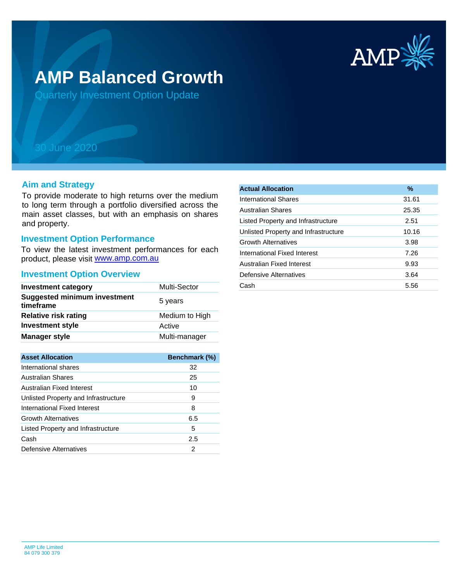

# **AMP Balanced Growth**

Quarterly Investment Option Update

## 30 June 2020

### **Aim and Strategy**

To provide moderate to high returns over the medium to long term through a portfolio diversified across the main asset classes, but with an emphasis on shares and property.

## **Investment Option Performance**

product, please visit **www.amp.com.au** To view the latest investment performances for each

#### **Investment Option Overview**

| <b>Investment category</b>                       | Multi-Sector   |
|--------------------------------------------------|----------------|
| <b>Suggested minimum investment</b><br>timeframe | 5 years        |
| <b>Relative risk rating</b>                      | Medium to High |
| <b>Investment style</b>                          | Active         |
| <b>Manager style</b>                             | Multi-manager  |

| <b>Asset Allocation</b>              | <b>Benchmark (%)</b> |
|--------------------------------------|----------------------|
| International shares                 | 32                   |
| Australian Shares                    | 25                   |
| Australian Fixed Interest            | 10                   |
| Unlisted Property and Infrastructure | 9                    |
| International Fixed Interest         | 8                    |
| <b>Growth Alternatives</b>           | 6.5                  |
| Listed Property and Infrastructure   | 5                    |
| Cash                                 | 2.5                  |
| Defensive Alternatives               | 2                    |

| <b>Actual Allocation</b>             | $\%$  |
|--------------------------------------|-------|
| International Shares                 | 31.61 |
| Australian Shares                    | 25.35 |
| Listed Property and Infrastructure   | 2.51  |
| Unlisted Property and Infrastructure | 10.16 |
| <b>Growth Alternatives</b>           | 3.98  |
| International Fixed Interest         | 7.26  |
| Australian Fixed Interest            | 9.93  |
| Defensive Alternatives               | 3.64  |
| Cash                                 | 5.56  |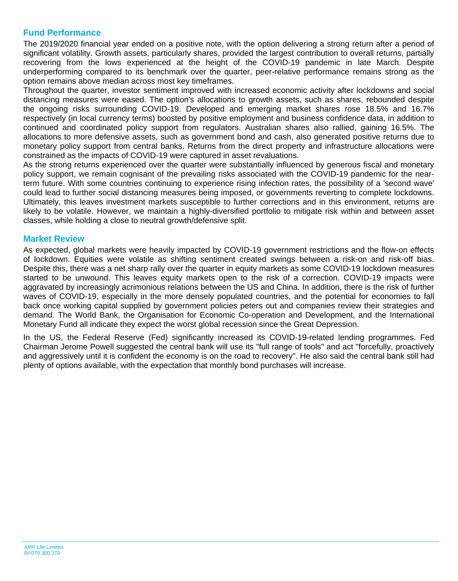## **Fund Performance**

The 2019/2020 financial year ended on a positive note, with the option delivering a strong return after a period of significant volatility. Growth assets, particularly shares, provided the largest contribution to overall returns, partially recovering from the lows experienced at the height of the COVID-19 pandemic in late March. Despite underperforming compared to its benchmark over the quarter, peer-relative performance remains strong as the option remains above median across most key timeframes.

Throughout the quarter, investor sentiment improved with increased economic activity after lockdowns and social distancing measures were eased. The option's allocations to growth assets, such as shares, rebounded despite the ongoing risks surrounding COVID-19. Developed and emerging market shares rose 18.5% and 16.7% respectively (in local currency terms) boosted by positive employment and business confidence data, in addition to continued and coordinated policy support from regulators. Australian shares also rallied, gaining 16.5%. The allocations to more defensive assets, such as government bond and cash, also generated positive returns due to monetary policy support from central banks. Returns from the direct property and infrastructure allocations were constrained as the impacts of COVID-19 were captured in asset revaluations.

As the strong returns experienced over the quarter were substantially influenced by generous fiscal and monetary policy support, we remain cognisant of the prevailing risks associated with the COVID-19 pandemic for the nearterm future. With some countries continuing to experience rising infection rates, the possibility of a 'second wave' could lead to further social distancing measures being imposed, or governments reverting to complete lockdowns. Ultimately, this leaves investment markets susceptible to further corrections and in this environment, returns are likely to be volatile. However, we maintain a highly-diversified portfolio to mitigate risk within and between asset classes, while holding a close to neutral growth/defensive split.

## **Market Review**

As expected, global markets were heavily impacted by COVID-19 government restrictions and the flow-on effects of lockdown. Equities were volatile as shifting sentiment created swings between a risk-on and risk-off bias. Despite this, there was a net sharp rally over the quarter in equity markets as some COVID-19 lockdown measures started to be unwound. This leaves equity markets open to the risk of a correction. COVID-19 impacts were aggravated by increasingly acrimonious relations between the US and China. In addition, there is the risk of further waves of COVID-19, especially in the more densely populated countries, and the potential for economies to fall back once working capital supplied by government policies peters out and companies review their strategies and demand. The World Bank, the Organisation for Economic Co-operation and Development, and the International Monetary Fund all indicate they expect the worst global recession since the Great Depression.

In the US, the Federal Reserve (Fed) significantly increased its COVID-19-related lending programmes. Fed Chairman Jerome Powell suggested the central bank will use its "full range of tools" and act "forcefully, proactively and aggressively until it is confident the economy is on the road to recovery". He also said the central bank still had plenty of options available, with the expectation that monthly bond purchases will increase.